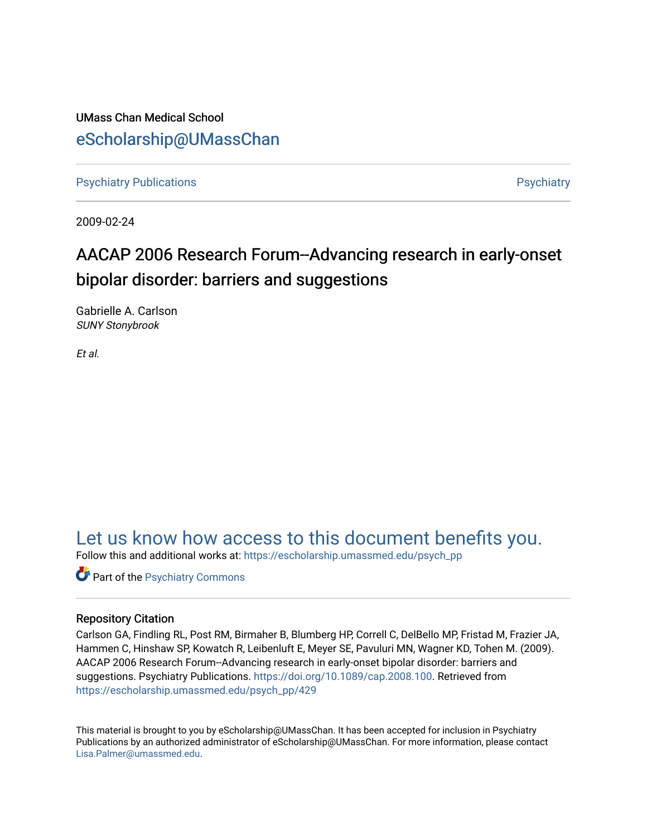UMass Chan Medical School [eScholarship@UMassChan](https://escholarship.umassmed.edu/) 

[Psychiatry Publications](https://escholarship.umassmed.edu/psych_pp) **Properties** [Psychiatry](https://escholarship.umassmed.edu/psychiatry) Publications **Psychiatry** 

2009-02-24

# AACAP 2006 Research Forum--Advancing research in early-onset bipolar disorder: barriers and suggestions

Gabrielle A. Carlson SUNY Stonybrook

Et al.

## [Let us know how access to this document benefits you.](https://arcsapps.umassmed.edu/redcap/surveys/?s=XWRHNF9EJE)

Follow this and additional works at: [https://escholarship.umassmed.edu/psych\\_pp](https://escholarship.umassmed.edu/psych_pp?utm_source=escholarship.umassmed.edu%2Fpsych_pp%2F429&utm_medium=PDF&utm_campaign=PDFCoverPages) 

Part of the [Psychiatry Commons](http://network.bepress.com/hgg/discipline/704?utm_source=escholarship.umassmed.edu%2Fpsych_pp%2F429&utm_medium=PDF&utm_campaign=PDFCoverPages) 

## Repository Citation

Carlson GA, Findling RL, Post RM, Birmaher B, Blumberg HP, Correll C, DelBello MP, Fristad M, Frazier JA, Hammen C, Hinshaw SP, Kowatch R, Leibenluft E, Meyer SE, Pavuluri MN, Wagner KD, Tohen M. (2009). AACAP 2006 Research Forum--Advancing research in early-onset bipolar disorder: barriers and suggestions. Psychiatry Publications.<https://doi.org/10.1089/cap.2008.100>. Retrieved from [https://escholarship.umassmed.edu/psych\\_pp/429](https://escholarship.umassmed.edu/psych_pp/429?utm_source=escholarship.umassmed.edu%2Fpsych_pp%2F429&utm_medium=PDF&utm_campaign=PDFCoverPages) 

This material is brought to you by eScholarship@UMassChan. It has been accepted for inclusion in Psychiatry Publications by an authorized administrator of eScholarship@UMassChan. For more information, please contact [Lisa.Palmer@umassmed.edu](mailto:Lisa.Palmer@umassmed.edu).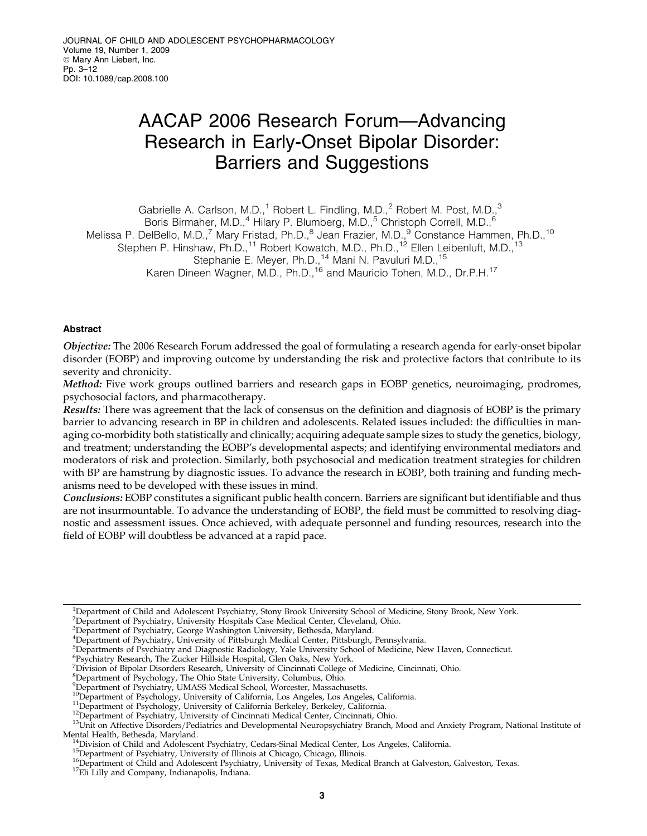# AACAP 2006 Research Forum—Advancing Research in Early-Onset Bipolar Disorder: Barriers and Suggestions

Gabrielle A. Carlson, M.D.,<sup>1</sup> Robert L. Findling, M.D.,<sup>2</sup> Robert M. Post, M.D.,<sup>3</sup>

Boris Birmaher, M.D.,<sup>4</sup> Hilary P. Blumberg, M.D.,<sup>5</sup> Christoph Correll, M.D.,<sup>6</sup>

Melissa P. DelBello, M.D.,<sup>7</sup> Mary Fristad, Ph.D.,<sup>8</sup> Jean Frazier, M.D.,<sup>9</sup> Constance Hammen, Ph.D.,<sup>10</sup>

Stephen P. Hinshaw, Ph.D.,<sup>11</sup> Robert Kowatch, M.D., Ph.D.,<sup>12</sup> Ellen Leibenluft, M.D.,<sup>13</sup>

Stephanie E. Meyer, Ph.D.,<sup>14</sup> Mani N. Pavuluri M.D.,<sup>15</sup>

Karen Dineen Wagner, M.D., Ph.D.,<sup>16</sup> and Mauricio Tohen, M.D., Dr.P.H.<sup>17</sup>

## Abstract

Objective: The 2006 Research Forum addressed the goal of formulating a research agenda for early-onset bipolar disorder (EOBP) and improving outcome by understanding the risk and protective factors that contribute to its severity and chronicity.

Method: Five work groups outlined barriers and research gaps in EOBP genetics, neuroimaging, prodromes, psychosocial factors, and pharmacotherapy.

Results: There was agreement that the lack of consensus on the definition and diagnosis of EOBP is the primary barrier to advancing research in BP in children and adolescents. Related issues included: the difficulties in managing co-morbidity both statistically and clinically; acquiring adequate sample sizes to study the genetics, biology, and treatment; understanding the EOBP's developmental aspects; and identifying environmental mediators and moderators of risk and protection. Similarly, both psychosocial and medication treatment strategies for children with BP are hamstrung by diagnostic issues. To advance the research in EOBP, both training and funding mechanisms need to be developed with these issues in mind.

Conclusions: EOBP constitutes a significant public health concern. Barriers are significant but identifiable and thus are not insurmountable. To advance the understanding of EOBP, the field must be committed to resolving diagnostic and assessment issues. Once achieved, with adequate personnel and funding resources, research into the field of EOBP will doubtless be advanced at a rapid pace.

<sup>2</sup>Department of Psychiatry, University Hospitals Case Medical Center, Cleveland, Ohio.

<sup>8</sup>Department of Psychology, The Ohio State University, Columbus, Ohio.

<sup>&</sup>lt;sup>1</sup>Department of Child and Adolescent Psychiatry, Stony Brook University School of Medicine, Stony Brook, New York.

<sup>3</sup> Department of Psychiatry, George Washington University, Bethesda, Maryland. 4 Department of Psychiatry, University of Pittsburgh Medical Center, Pittsburgh, Pennsylvania.

<sup>5</sup> Departments of Psychiatry and Diagnostic Radiology, Yale University School of Medicine, New Haven, Connecticut.

<sup>6</sup> Psychiatry Research, The Zucker Hillside Hospital, Glen Oaks, New York.

<sup>7</sup> Division of Bipolar Disorders Research, University of Cincinnati College of Medicine, Cincinnati, Ohio.

<sup>9</sup> Department of Psychiatry, UMASS Medical School, Worcester, Massachusetts.

<sup>&</sup>lt;sup>11</sup>Department of Psychology, University of California Berkeley, Berkeley, California.<br><sup>12</sup>Department of Psychiatry, University of Cincinnati Medical Center, Cincinnati, Ohio.<br><sup>13</sup>Unit on Affective Disorders/Pediatrics and Mental Health, Bethesda, Maryland.<br><sup>14</sup>Division of Child and Adolescent Psychiatry, Cedars-Sinal Medical Center, Los Angeles, California.<br><sup>15</sup>Department of Psychiatry, University of Illinois at Chicago, Chicago, Illinois.<br>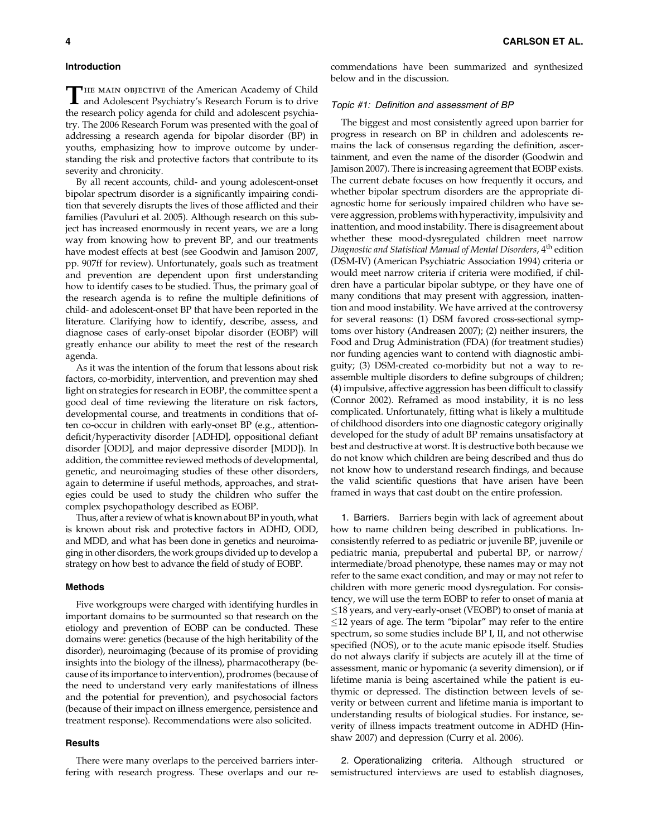#### Introduction

**THE MAIN OBJECTIVE of the American Academy of Child** and Adolescent Psychiatry's Research Forum is to drive the research policy agenda for child and adolescent psychiatry. The 2006 Research Forum was presented with the goal of addressing a research agenda for bipolar disorder (BP) in youths, emphasizing how to improve outcome by understanding the risk and protective factors that contribute to its severity and chronicity.

By all recent accounts, child- and young adolescent-onset bipolar spectrum disorder is a significantly impairing condition that severely disrupts the lives of those afflicted and their families (Pavuluri et al. 2005). Although research on this subject has increased enormously in recent years, we are a long way from knowing how to prevent BP, and our treatments have modest effects at best (see Goodwin and Jamison 2007, pp. 907ff for review). Unfortunately, goals such as treatment and prevention are dependent upon first understanding how to identify cases to be studied. Thus, the primary goal of the research agenda is to refine the multiple definitions of child- and adolescent-onset BP that have been reported in the literature. Clarifying how to identify, describe, assess, and diagnose cases of early-onset bipolar disorder (EOBP) will greatly enhance our ability to meet the rest of the research agenda.

As it was the intention of the forum that lessons about risk factors, co-morbidity, intervention, and prevention may shed light on strategies for research in EOBP, the committee spent a good deal of time reviewing the literature on risk factors, developmental course, and treatments in conditions that often co-occur in children with early-onset BP (e.g., attentiondeficit/hyperactivity disorder [ADHD], oppositional defiant disorder [ODD], and major depressive disorder [MDD]). In addition, the committee reviewed methods of developmental, genetic, and neuroimaging studies of these other disorders, again to determine if useful methods, approaches, and strategies could be used to study the children who suffer the complex psychopathology described as EOBP.

Thus, after a review of what is known about BP in youth, what is known about risk and protective factors in ADHD, ODD, and MDD, and what has been done in genetics and neuroimaging in other disorders, the work groups divided up to develop a strategy on how best to advance the field of study of EOBP.

#### Methods

Five workgroups were charged with identifying hurdles in important domains to be surmounted so that research on the etiology and prevention of EOBP can be conducted. These domains were: genetics (because of the high heritability of the disorder), neuroimaging (because of its promise of providing insights into the biology of the illness), pharmacotherapy (because of its importance to intervention), prodromes (because of the need to understand very early manifestations of illness and the potential for prevention), and psychosocial factors (because of their impact on illness emergence, persistence and treatment response). Recommendations were also solicited.

#### **Results**

There were many overlaps to the perceived barriers interfering with research progress. These overlaps and our recommendations have been summarized and synthesized below and in the discussion.

#### Topic #1: Definition and assessment of BP

The biggest and most consistently agreed upon barrier for progress in research on BP in children and adolescents remains the lack of consensus regarding the definition, ascertainment, and even the name of the disorder (Goodwin and Jamison 2007). There is increasing agreement that EOBP exists. The current debate focuses on how frequently it occurs, and whether bipolar spectrum disorders are the appropriate diagnostic home for seriously impaired children who have severe aggression, problems with hyperactivity, impulsivity and inattention, and mood instability. There is disagreement about whether these mood-dysregulated children meet narrow Diagnostic and Statistical Manual of Mental Disorders, 4<sup>th</sup> edition (DSM-IV) (American Psychiatric Association 1994) criteria or would meet narrow criteria if criteria were modified, if children have a particular bipolar subtype, or they have one of many conditions that may present with aggression, inattention and mood instability. We have arrived at the controversy for several reasons: (1) DSM favored cross-sectional symptoms over history (Andreasen 2007); (2) neither insurers, the Food and Drug Administration (FDA) (for treatment studies) nor funding agencies want to contend with diagnostic ambiguity; (3) DSM-created co-morbidity but not a way to reassemble multiple disorders to define subgroups of children; (4) impulsive, affective aggression has been difficult to classify (Connor 2002). Reframed as mood instability, it is no less complicated. Unfortunately, fitting what is likely a multitude of childhood disorders into one diagnostic category originally developed for the study of adult BP remains unsatisfactory at best and destructive at worst. It is destructive both because we do not know which children are being described and thus do not know how to understand research findings, and because the valid scientific questions that have arisen have been framed in ways that cast doubt on the entire profession.

1. Barriers. Barriers begin with lack of agreement about how to name children being described in publications. Inconsistently referred to as pediatric or juvenile BP, juvenile or pediatric mania, prepubertal and pubertal BP, or narrow/ intermediate/broad phenotype, these names may or may not refer to the same exact condition, and may or may not refer to children with more generic mood dysregulation. For consistency, we will use the term EOBP to refer to onset of mania at  $\leq$ 18 years, and very-early-onset (VEOBP) to onset of mania at  $\leq$ 12 years of age. The term "bipolar" may refer to the entire spectrum, so some studies include BP I, II, and not otherwise specified (NOS), or to the acute manic episode itself. Studies do not always clarify if subjects are acutely ill at the time of assessment, manic or hypomanic (a severity dimension), or if lifetime mania is being ascertained while the patient is euthymic or depressed. The distinction between levels of severity or between current and lifetime mania is important to understanding results of biological studies. For instance, severity of illness impacts treatment outcome in ADHD (Hinshaw 2007) and depression (Curry et al. 2006).

2. Operationalizing criteria. Although structured or semistructured interviews are used to establish diagnoses,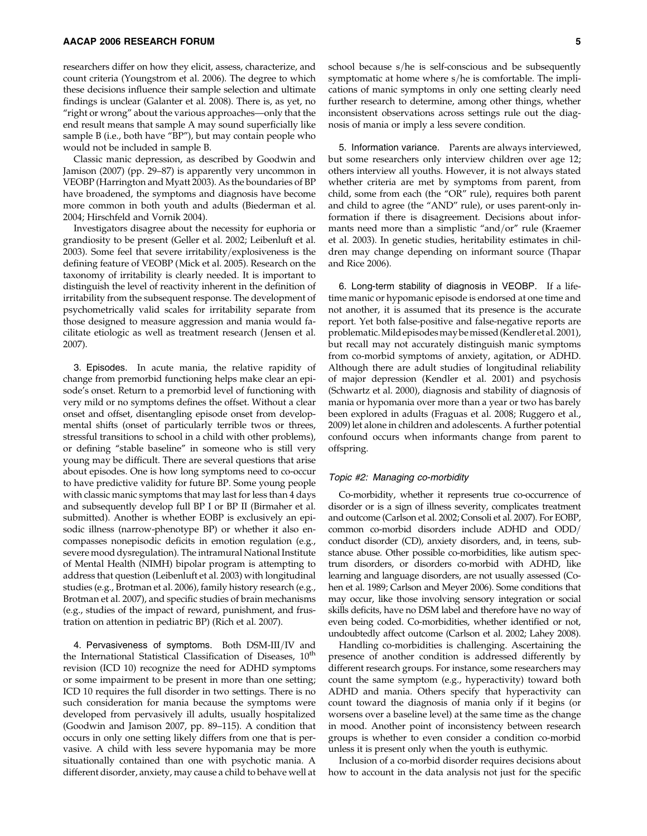researchers differ on how they elicit, assess, characterize, and count criteria (Youngstrom et al. 2006). The degree to which these decisions influence their sample selection and ultimate findings is unclear (Galanter et al. 2008). There is, as yet, no ''right or wrong'' about the various approaches—only that the end result means that sample A may sound superficially like sample B (i.e., both have "BP"), but may contain people who would not be included in sample B.

Classic manic depression, as described by Goodwin and Jamison (2007) (pp. 29–87) is apparently very uncommon in VEOBP (Harrington and Myatt 2003). As the boundaries of BP have broadened, the symptoms and diagnosis have become more common in both youth and adults (Biederman et al. 2004; Hirschfeld and Vornik 2004).

Investigators disagree about the necessity for euphoria or grandiosity to be present (Geller et al. 2002; Leibenluft et al. 2003). Some feel that severe irritability/explosiveness is the defining feature of VEOBP (Mick et al. 2005). Research on the taxonomy of irritability is clearly needed. It is important to distinguish the level of reactivity inherent in the definition of irritability from the subsequent response. The development of psychometrically valid scales for irritability separate from those designed to measure aggression and mania would facilitate etiologic as well as treatment research ( Jensen et al. 2007).

3. Episodes. In acute mania, the relative rapidity of change from premorbid functioning helps make clear an episode's onset. Return to a premorbid level of functioning with very mild or no symptoms defines the offset. Without a clear onset and offset, disentangling episode onset from developmental shifts (onset of particularly terrible twos or threes, stressful transitions to school in a child with other problems), or defining ''stable baseline'' in someone who is still very young may be difficult. There are several questions that arise about episodes. One is how long symptoms need to co-occur to have predictive validity for future BP. Some young people with classic manic symptoms that may last for less than 4 days and subsequently develop full BP I or BP II (Birmaher et al. submitted). Another is whether EOBP is exclusively an episodic illness (narrow-phenotype BP) or whether it also encompasses nonepisodic deficits in emotion regulation (e.g., severe mood dysregulation). The intramural National Institute of Mental Health (NIMH) bipolar program is attempting to address that question (Leibenluft et al. 2003) with longitudinal studies (e.g., Brotman et al. 2006), family history research (e.g., Brotman et al. 2007), and specific studies of brain mechanisms (e.g., studies of the impact of reward, punishment, and frustration on attention in pediatric BP) (Rich et al. 2007).

4. Pervasiveness of symptoms. Both  $DSM-III/IV$  and the International Statistical Classification of Diseases, 10<sup>th</sup> revision (ICD 10) recognize the need for ADHD symptoms or some impairment to be present in more than one setting; ICD 10 requires the full disorder in two settings. There is no such consideration for mania because the symptoms were developed from pervasively ill adults, usually hospitalized (Goodwin and Jamison 2007, pp. 89–115). A condition that occurs in only one setting likely differs from one that is pervasive. A child with less severe hypomania may be more situationally contained than one with psychotic mania. A different disorder, anxiety, may cause a child to behave well at school because  $s$ /he is self-conscious and be subsequently symptomatic at home where  $s$ /he is comfortable. The implications of manic symptoms in only one setting clearly need further research to determine, among other things, whether inconsistent observations across settings rule out the diagnosis of mania or imply a less severe condition.

5. Information variance. Parents are always interviewed, but some researchers only interview children over age 12; others interview all youths. However, it is not always stated whether criteria are met by symptoms from parent, from child, some from each (the "OR" rule), requires both parent and child to agree (the "AND" rule), or uses parent-only information if there is disagreement. Decisions about informants need more than a simplistic "and/or" rule (Kraemer et al. 2003). In genetic studies, heritability estimates in children may change depending on informant source (Thapar and Rice 2006).

6. Long-term stability of diagnosis in VEOBP. If a lifetime manic or hypomanic episode is endorsed at one time and not another, it is assumed that its presence is the accurate report. Yet both false-positive and false-negative reports are problematic.Mild episodesmay bemissed (Kendler et al. 2001), but recall may not accurately distinguish manic symptoms from co-morbid symptoms of anxiety, agitation, or ADHD. Although there are adult studies of longitudinal reliability of major depression (Kendler et al. 2001) and psychosis (Schwartz et al. 2000), diagnosis and stability of diagnosis of mania or hypomania over more than a year or two has barely been explored in adults (Fraguas et al. 2008; Ruggero et al., 2009) let alone in children and adolescents. A further potential confound occurs when informants change from parent to offspring.

#### Topic #2: Managing co-morbidity

Co-morbidity, whether it represents true co-occurrence of disorder or is a sign of illness severity, complicates treatment and outcome (Carlson et al. 2002; Consoli et al. 2007). For EOBP, common co-morbid disorders include ADHD and  $ODD/$ conduct disorder (CD), anxiety disorders, and, in teens, substance abuse. Other possible co-morbidities, like autism spectrum disorders, or disorders co-morbid with ADHD, like learning and language disorders, are not usually assessed (Cohen et al. 1989; Carlson and Meyer 2006). Some conditions that may occur, like those involving sensory integration or social skills deficits, have no DSM label and therefore have no way of even being coded. Co-morbidities, whether identified or not, undoubtedly affect outcome (Carlson et al. 2002; Lahey 2008).

Handling co-morbidities is challenging. Ascertaining the presence of another condition is addressed differently by different research groups. For instance, some researchers may count the same symptom (e.g., hyperactivity) toward both ADHD and mania. Others specify that hyperactivity can count toward the diagnosis of mania only if it begins (or worsens over a baseline level) at the same time as the change in mood. Another point of inconsistency between research groups is whether to even consider a condition co-morbid unless it is present only when the youth is euthymic.

Inclusion of a co-morbid disorder requires decisions about how to account in the data analysis not just for the specific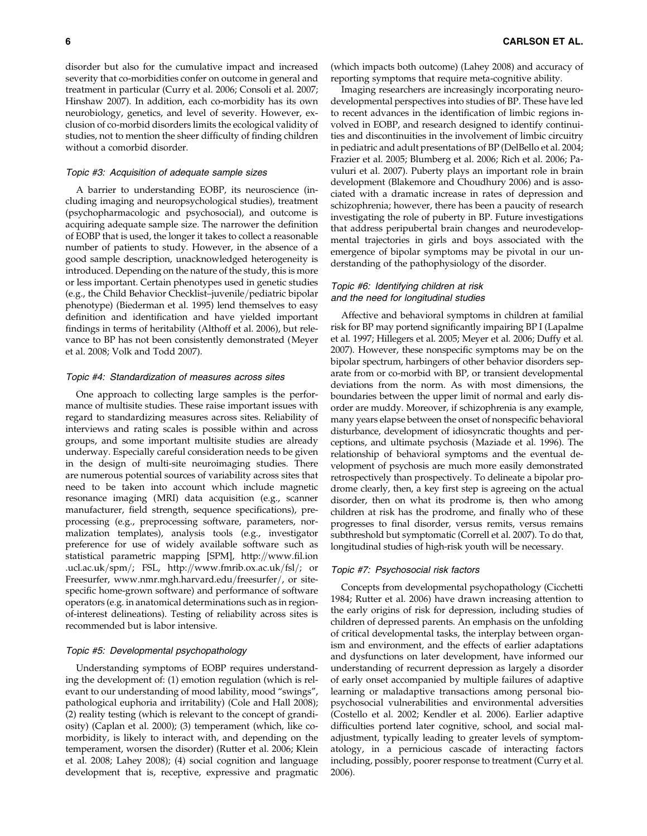disorder but also for the cumulative impact and increased severity that co-morbidities confer on outcome in general and treatment in particular (Curry et al. 2006; Consoli et al. 2007; Hinshaw 2007). In addition, each co-morbidity has its own neurobiology, genetics, and level of severity. However, exclusion of co-morbid disorders limits the ecological validity of studies, not to mention the sheer difficulty of finding children without a comorbid disorder.

### Topic #3: Acquisition of adequate sample sizes

A barrier to understanding EOBP, its neuroscience (including imaging and neuropsychological studies), treatment (psychopharmacologic and psychosocial), and outcome is acquiring adequate sample size. The narrower the definition of EOBP that is used, the longer it takes to collect a reasonable number of patients to study. However, in the absence of a good sample description, unacknowledged heterogeneity is introduced. Depending on the nature of the study, this is more or less important. Certain phenotypes used in genetic studies (e.g., the Child Behavior Checklist-juvenile/pediatric bipolar phenotype) (Biederman et al. 1995) lend themselves to easy definition and identification and have yielded important findings in terms of heritability (Althoff et al. 2006), but relevance to BP has not been consistently demonstrated (Meyer et al. 2008; Volk and Todd 2007).

## Topic #4: Standardization of measures across sites

One approach to collecting large samples is the performance of multisite studies. These raise important issues with regard to standardizing measures across sites. Reliability of interviews and rating scales is possible within and across groups, and some important multisite studies are already underway. Especially careful consideration needs to be given in the design of multi-site neuroimaging studies. There are numerous potential sources of variability across sites that need to be taken into account which include magnetic resonance imaging (MRI) data acquisition (e.g., scanner manufacturer, field strength, sequence specifications), preprocessing (e.g., preprocessing software, parameters, normalization templates), analysis tools (e.g., investigator preference for use of widely available software such as statistical parametric mapping [SPM], http://www.fil.ion .ucl.ac.uk/spm/; FSL, http://www.fmrib.ox.ac.uk/fsl/; or Freesurfer, www.nmr.mgh.harvard.edu/freesurfer/, or sitespecific home-grown software) and performance of software operators (e.g. in anatomical determinations such as in regionof-interest delineations). Testing of reliability across sites is recommended but is labor intensive.

#### Topic #5: Developmental psychopathology

Understanding symptoms of EOBP requires understanding the development of: (1) emotion regulation (which is relevant to our understanding of mood lability, mood ''swings'', pathological euphoria and irritability) (Cole and Hall 2008); (2) reality testing (which is relevant to the concept of grandiosity) (Caplan et al. 2000); (3) temperament (which, like comorbidity, is likely to interact with, and depending on the temperament, worsen the disorder) (Rutter et al. 2006; Klein et al. 2008; Lahey 2008); (4) social cognition and language development that is, receptive, expressive and pragmatic (which impacts both outcome) (Lahey 2008) and accuracy of reporting symptoms that require meta-cognitive ability.

Imaging researchers are increasingly incorporating neurodevelopmental perspectives into studies of BP. These have led to recent advances in the identification of limbic regions involved in EOBP, and research designed to identify continuities and discontinuities in the involvement of limbic circuitry in pediatric and adult presentations of BP (DelBello et al. 2004; Frazier et al. 2005; Blumberg et al. 2006; Rich et al. 2006; Pavuluri et al. 2007). Puberty plays an important role in brain development (Blakemore and Choudhury 2006) and is associated with a dramatic increase in rates of depression and schizophrenia; however, there has been a paucity of research investigating the role of puberty in BP. Future investigations that address peripubertal brain changes and neurodevelopmental trajectories in girls and boys associated with the emergence of bipolar symptoms may be pivotal in our understanding of the pathophysiology of the disorder.

## Topic #6: Identifying children at risk and the need for longitudinal studies

Affective and behavioral symptoms in children at familial risk for BP may portend significantly impairing BP I (Lapalme et al. 1997; Hillegers et al. 2005; Meyer et al. 2006; Duffy et al. 2007). However, these nonspecific symptoms may be on the bipolar spectrum, harbingers of other behavior disorders separate from or co-morbid with BP, or transient developmental deviations from the norm. As with most dimensions, the boundaries between the upper limit of normal and early disorder are muddy. Moreover, if schizophrenia is any example, many years elapse between the onset of nonspecific behavioral disturbance, development of idiosyncratic thoughts and perceptions, and ultimate psychosis (Maziade et al. 1996). The relationship of behavioral symptoms and the eventual development of psychosis are much more easily demonstrated retrospectively than prospectively. To delineate a bipolar prodrome clearly, then, a key first step is agreeing on the actual disorder, then on what its prodrome is, then who among children at risk has the prodrome, and finally who of these progresses to final disorder, versus remits, versus remains subthreshold but symptomatic (Correll et al. 2007). To do that, longitudinal studies of high-risk youth will be necessary.

#### Topic #7: Psychosocial risk factors

Concepts from developmental psychopathology (Cicchetti 1984; Rutter et al. 2006) have drawn increasing attention to the early origins of risk for depression, including studies of children of depressed parents. An emphasis on the unfolding of critical developmental tasks, the interplay between organism and environment, and the effects of earlier adaptations and dysfunctions on later development, have informed our understanding of recurrent depression as largely a disorder of early onset accompanied by multiple failures of adaptive learning or maladaptive transactions among personal biopsychosocial vulnerabilities and environmental adversities (Costello et al. 2002; Kendler et al. 2006). Earlier adaptive difficulties portend later cognitive, school, and social maladjustment, typically leading to greater levels of symptomatology, in a pernicious cascade of interacting factors including, possibly, poorer response to treatment (Curry et al. 2006).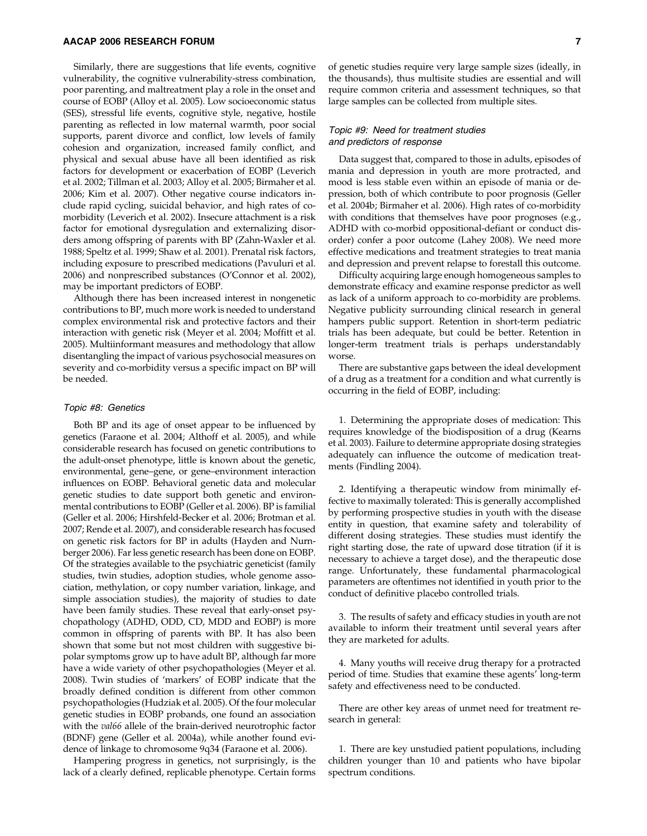Similarly, there are suggestions that life events, cognitive vulnerability, the cognitive vulnerability-stress combination, poor parenting, and maltreatment play a role in the onset and course of EOBP (Alloy et al. 2005). Low socioeconomic status (SES), stressful life events, cognitive style, negative, hostile parenting as reflected in low maternal warmth, poor social supports, parent divorce and conflict, low levels of family cohesion and organization, increased family conflict, and physical and sexual abuse have all been identified as risk factors for development or exacerbation of EOBP (Leverich et al. 2002; Tillman et al. 2003; Alloy et al. 2005; Birmaher et al. 2006; Kim et al. 2007). Other negative course indicators include rapid cycling, suicidal behavior, and high rates of comorbidity (Leverich et al. 2002). Insecure attachment is a risk factor for emotional dysregulation and externalizing disorders among offspring of parents with BP (Zahn-Waxler et al. 1988; Speltz et al. 1999; Shaw et al. 2001). Prenatal risk factors, including exposure to prescribed medications (Pavuluri et al. 2006) and nonprescribed substances (O'Connor et al. 2002), may be important predictors of EOBP.

Although there has been increased interest in nongenetic contributions to BP, much more work is needed to understand complex environmental risk and protective factors and their interaction with genetic risk (Meyer et al. 2004; Moffitt et al. 2005). Multiinformant measures and methodology that allow disentangling the impact of various psychosocial measures on severity and co-morbidity versus a specific impact on BP will be needed.

## Topic #8: Genetics

Both BP and its age of onset appear to be influenced by genetics (Faraone et al. 2004; Althoff et al. 2005), and while considerable research has focused on genetic contributions to the adult-onset phenotype, little is known about the genetic, environmental, gene–gene, or gene–environment interaction influences on EOBP. Behavioral genetic data and molecular genetic studies to date support both genetic and environmental contributions to EOBP (Geller et al. 2006). BP is familial (Geller et al. 2006; Hirshfeld-Becker et al. 2006; Brotman et al. 2007; Rende et al. 2007), and considerable research has focused on genetic risk factors for BP in adults (Hayden and Nurnberger 2006). Far less genetic research has been done on EOBP. Of the strategies available to the psychiatric geneticist (family studies, twin studies, adoption studies, whole genome association, methylation, or copy number variation, linkage, and simple association studies), the majority of studies to date have been family studies. These reveal that early-onset psychopathology (ADHD, ODD, CD, MDD and EOBP) is more common in offspring of parents with BP. It has also been shown that some but not most children with suggestive bipolar symptoms grow up to have adult BP, although far more have a wide variety of other psychopathologies (Meyer et al. 2008). Twin studies of 'markers' of EOBP indicate that the broadly defined condition is different from other common psychopathologies (Hudziak et al. 2005). Of the four molecular genetic studies in EOBP probands, one found an association with the *val66* allele of the brain-derived neurotrophic factor (BDNF) gene (Geller et al. 2004a), while another found evidence of linkage to chromosome 9q34 (Faraone et al. 2006).

Hampering progress in genetics, not surprisingly, is the lack of a clearly defined, replicable phenotype. Certain forms of genetic studies require very large sample sizes (ideally, in the thousands), thus multisite studies are essential and will require common criteria and assessment techniques, so that large samples can be collected from multiple sites.

### Topic #9: Need for treatment studies and predictors of response

Data suggest that, compared to those in adults, episodes of mania and depression in youth are more protracted, and mood is less stable even within an episode of mania or depression, both of which contribute to poor prognosis (Geller et al. 2004b; Birmaher et al. 2006). High rates of co-morbidity with conditions that themselves have poor prognoses (e.g., ADHD with co-morbid oppositional-defiant or conduct disorder) confer a poor outcome (Lahey 2008). We need more effective medications and treatment strategies to treat mania and depression and prevent relapse to forestall this outcome.

Difficulty acquiring large enough homogeneous samples to demonstrate efficacy and examine response predictor as well as lack of a uniform approach to co-morbidity are problems. Negative publicity surrounding clinical research in general hampers public support. Retention in short-term pediatric trials has been adequate, but could be better. Retention in longer-term treatment trials is perhaps understandably worse.

There are substantive gaps between the ideal development of a drug as a treatment for a condition and what currently is occurring in the field of EOBP, including:

1. Determining the appropriate doses of medication: This requires knowledge of the biodisposition of a drug (Kearns et al. 2003). Failure to determine appropriate dosing strategies adequately can influence the outcome of medication treatments (Findling 2004).

2. Identifying a therapeutic window from minimally effective to maximally tolerated: This is generally accomplished by performing prospective studies in youth with the disease entity in question, that examine safety and tolerability of different dosing strategies. These studies must identify the right starting dose, the rate of upward dose titration (if it is necessary to achieve a target dose), and the therapeutic dose range. Unfortunately, these fundamental pharmacological parameters are oftentimes not identified in youth prior to the conduct of definitive placebo controlled trials.

3. The results of safety and efficacy studies in youth are not available to inform their treatment until several years after they are marketed for adults.

4. Many youths will receive drug therapy for a protracted period of time. Studies that examine these agents' long-term safety and effectiveness need to be conducted.

There are other key areas of unmet need for treatment research in general:

1. There are key unstudied patient populations, including children younger than 10 and patients who have bipolar spectrum conditions.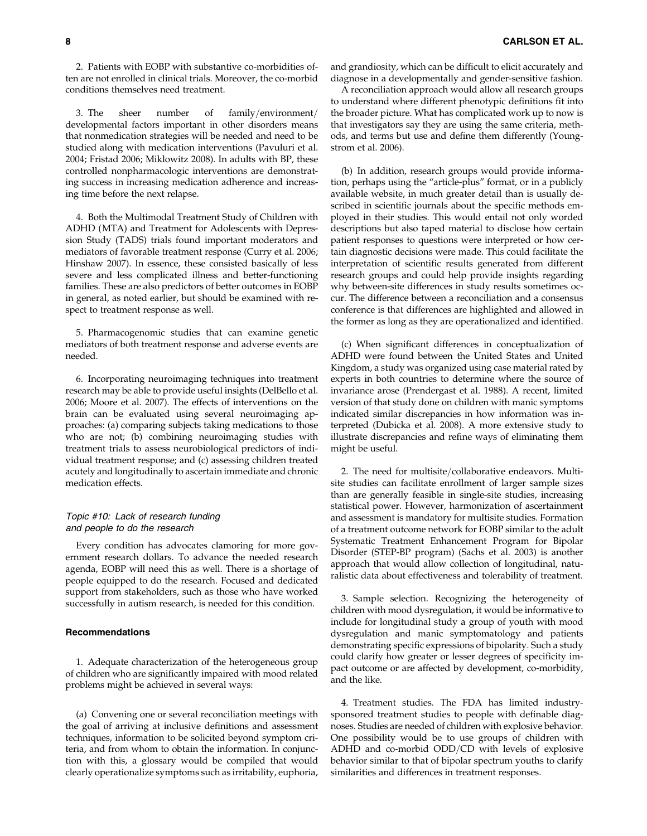2. Patients with EOBP with substantive co-morbidities often are not enrolled in clinical trials. Moreover, the co-morbid conditions themselves need treatment.

3. The sheer number of family/environment/ developmental factors important in other disorders means that nonmedication strategies will be needed and need to be studied along with medication interventions (Pavuluri et al. 2004; Fristad 2006; Miklowitz 2008). In adults with BP, these controlled nonpharmacologic interventions are demonstrating success in increasing medication adherence and increasing time before the next relapse.

4. Both the Multimodal Treatment Study of Children with ADHD (MTA) and Treatment for Adolescents with Depression Study (TADS) trials found important moderators and mediators of favorable treatment response (Curry et al. 2006; Hinshaw 2007). In essence, these consisted basically of less severe and less complicated illness and better-functioning families. These are also predictors of better outcomes in EOBP in general, as noted earlier, but should be examined with respect to treatment response as well.

5. Pharmacogenomic studies that can examine genetic mediators of both treatment response and adverse events are needed.

6. Incorporating neuroimaging techniques into treatment research may be able to provide useful insights (DelBello et al. 2006; Moore et al. 2007). The effects of interventions on the brain can be evaluated using several neuroimaging approaches: (a) comparing subjects taking medications to those who are not; (b) combining neuroimaging studies with treatment trials to assess neurobiological predictors of individual treatment response; and (c) assessing children treated acutely and longitudinally to ascertain immediate and chronic medication effects.

## Topic #10: Lack of research funding and people to do the research

Every condition has advocates clamoring for more government research dollars. To advance the needed research agenda, EOBP will need this as well. There is a shortage of people equipped to do the research. Focused and dedicated support from stakeholders, such as those who have worked successfully in autism research, is needed for this condition.

## Recommendations

1. Adequate characterization of the heterogeneous group of children who are significantly impaired with mood related problems might be achieved in several ways:

(a) Convening one or several reconciliation meetings with the goal of arriving at inclusive definitions and assessment techniques, information to be solicited beyond symptom criteria, and from whom to obtain the information. In conjunction with this, a glossary would be compiled that would clearly operationalize symptoms such as irritability, euphoria, and grandiosity, which can be difficult to elicit accurately and diagnose in a developmentally and gender-sensitive fashion.

A reconciliation approach would allow all research groups to understand where different phenotypic definitions fit into the broader picture. What has complicated work up to now is that investigators say they are using the same criteria, methods, and terms but use and define them differently (Youngstrom et al. 2006).

(b) In addition, research groups would provide information, perhaps using the ''article-plus'' format, or in a publicly available website, in much greater detail than is usually described in scientific journals about the specific methods employed in their studies. This would entail not only worded descriptions but also taped material to disclose how certain patient responses to questions were interpreted or how certain diagnostic decisions were made. This could facilitate the interpretation of scientific results generated from different research groups and could help provide insights regarding why between-site differences in study results sometimes occur. The difference between a reconciliation and a consensus conference is that differences are highlighted and allowed in the former as long as they are operationalized and identified.

(c) When significant differences in conceptualization of ADHD were found between the United States and United Kingdom, a study was organized using case material rated by experts in both countries to determine where the source of invariance arose (Prendergast et al. 1988). A recent, limited version of that study done on children with manic symptoms indicated similar discrepancies in how information was interpreted (Dubicka et al. 2008). A more extensive study to illustrate discrepancies and refine ways of eliminating them might be useful.

2. The need for multisite/collaborative endeavors. Multisite studies can facilitate enrollment of larger sample sizes than are generally feasible in single-site studies, increasing statistical power. However, harmonization of ascertainment and assessment is mandatory for multisite studies. Formation of a treatment outcome network for EOBP similar to the adult Systematic Treatment Enhancement Program for Bipolar Disorder (STEP-BP program) (Sachs et al. 2003) is another approach that would allow collection of longitudinal, naturalistic data about effectiveness and tolerability of treatment.

3. Sample selection. Recognizing the heterogeneity of children with mood dysregulation, it would be informative to include for longitudinal study a group of youth with mood dysregulation and manic symptomatology and patients demonstrating specific expressions of bipolarity. Such a study could clarify how greater or lesser degrees of specificity impact outcome or are affected by development, co-morbidity, and the like.

4. Treatment studies. The FDA has limited industrysponsored treatment studies to people with definable diagnoses. Studies are needed of children with explosive behavior. One possibility would be to use groups of children with ADHD and co-morbid  $ODD/CD$  with levels of explosive behavior similar to that of bipolar spectrum youths to clarify similarities and differences in treatment responses.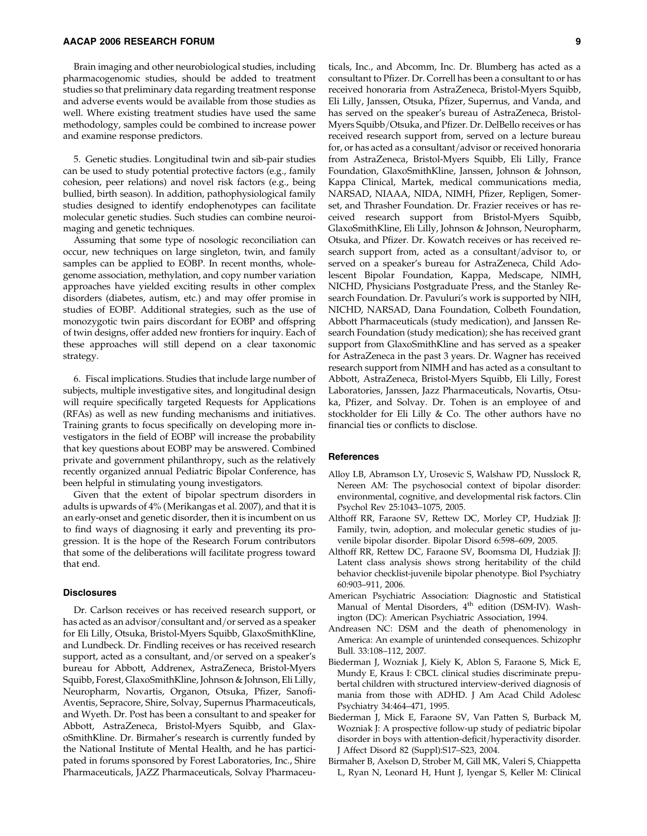Brain imaging and other neurobiological studies, including pharmacogenomic studies, should be added to treatment studies so that preliminary data regarding treatment response and adverse events would be available from those studies as well. Where existing treatment studies have used the same methodology, samples could be combined to increase power and examine response predictors.

5. Genetic studies. Longitudinal twin and sib-pair studies can be used to study potential protective factors (e.g., family cohesion, peer relations) and novel risk factors (e.g., being bullied, birth season). In addition, pathophysiological family studies designed to identify endophenotypes can facilitate molecular genetic studies. Such studies can combine neuroimaging and genetic techniques.

Assuming that some type of nosologic reconciliation can occur, new techniques on large singleton, twin, and family samples can be applied to EOBP. In recent months, wholegenome association, methylation, and copy number variation approaches have yielded exciting results in other complex disorders (diabetes, autism, etc.) and may offer promise in studies of EOBP. Additional strategies, such as the use of monozygotic twin pairs discordant for EOBP and offspring of twin designs, offer added new frontiers for inquiry. Each of these approaches will still depend on a clear taxonomic strategy.

6. Fiscal implications. Studies that include large number of subjects, multiple investigative sites, and longitudinal design will require specifically targeted Requests for Applications (RFAs) as well as new funding mechanisms and initiatives. Training grants to focus specifically on developing more investigators in the field of EOBP will increase the probability that key questions about EOBP may be answered. Combined private and government philanthropy, such as the relatively recently organized annual Pediatric Bipolar Conference, has been helpful in stimulating young investigators.

Given that the extent of bipolar spectrum disorders in adults is upwards of 4% (Merikangas et al. 2007), and that it is an early-onset and genetic disorder, then it is incumbent on us to find ways of diagnosing it early and preventing its progression. It is the hope of the Research Forum contributors that some of the deliberations will facilitate progress toward that end.

#### **Disclosures**

Dr. Carlson receives or has received research support, or has acted as an advisor/consultant and/or served as a speaker for Eli Lilly, Otsuka, Bristol-Myers Squibb, GlaxoSmithKline, and Lundbeck. Dr. Findling receives or has received research support, acted as a consultant, and/or served on a speaker's bureau for Abbott, Addrenex, AstraZeneca, Bristol-Myers Squibb, Forest, GlaxoSmithKline, Johnson & Johnson, Eli Lilly, Neuropharm, Novartis, Organon, Otsuka, Pfizer, Sanofi-Aventis, Sepracore, Shire, Solvay, Supernus Pharmaceuticals, and Wyeth. Dr. Post has been a consultant to and speaker for Abbott, AstraZeneca, Bristol-Myers Squibb, and GlaxoSmithKline. Dr. Birmaher's research is currently funded by the National Institute of Mental Health, and he has participated in forums sponsored by Forest Laboratories, Inc., Shire Pharmaceuticals, JAZZ Pharmaceuticals, Solvay Pharmaceuticals, Inc., and Abcomm, Inc. Dr. Blumberg has acted as a consultant to Pfizer. Dr. Correll has been a consultant to or has received honoraria from AstraZeneca, Bristol-Myers Squibb, Eli Lilly, Janssen, Otsuka, Pfizer, Supernus, and Vanda, and has served on the speaker's bureau of AstraZeneca, Bristol-Myers Squibb/Otsuka, and Pfizer. Dr. DelBello receives or has received research support from, served on a lecture bureau for, or has acted as a consultant/advisor or received honoraria from AstraZeneca, Bristol-Myers Squibb, Eli Lilly, France Foundation, GlaxoSmithKline, Janssen, Johnson & Johnson, Kappa Clinical, Martek, medical communications media, NARSAD, NIAAA, NIDA, NIMH, Pfizer, Repligen, Somerset, and Thrasher Foundation. Dr. Frazier receives or has received research support from Bristol-Myers Squibb, GlaxoSmithKline, Eli Lilly, Johnson & Johnson, Neuropharm, Otsuka, and Pfizer. Dr. Kowatch receives or has received research support from, acted as a consultant/advisor to, or served on a speaker's bureau for AstraZeneca, Child Adolescent Bipolar Foundation, Kappa, Medscape, NIMH, NICHD, Physicians Postgraduate Press, and the Stanley Research Foundation. Dr. Pavuluri's work is supported by NIH, NICHD, NARSAD, Dana Foundation, Colbeth Foundation, Abbott Pharmaceuticals (study medication), and Janssen Research Foundation (study medication); she has received grant support from GlaxoSmithKline and has served as a speaker for AstraZeneca in the past 3 years. Dr. Wagner has received research support from NIMH and has acted as a consultant to Abbott, AstraZeneca, Bristol-Myers Squibb, Eli Lilly, Forest Laboratories, Janssen, Jazz Pharmaceuticals, Novartis, Otsuka, Pfizer, and Solvay. Dr. Tohen is an employee of and stockholder for Eli Lilly & Co. The other authors have no financial ties or conflicts to disclose.

#### **References**

- Alloy LB, Abramson LY, Urosevic S, Walshaw PD, Nusslock R, Nereen AM: The psychosocial context of bipolar disorder: environmental, cognitive, and developmental risk factors. Clin Psychol Rev 25:1043–1075, 2005.
- Althoff RR, Faraone SV, Rettew DC, Morley CP, Hudziak JJ: Family, twin, adoption, and molecular genetic studies of juvenile bipolar disorder. Bipolar Disord 6:598–609, 2005.
- Althoff RR, Rettew DC, Faraone SV, Boomsma DI, Hudziak JJ: Latent class analysis shows strong heritability of the child behavior checklist-juvenile bipolar phenotype. Biol Psychiatry 60:903–911, 2006.
- American Psychiatric Association: Diagnostic and Statistical Manual of Mental Disorders, 4<sup>th</sup> edition (DSM-IV). Washington (DC): American Psychiatric Association, 1994.
- Andreasen NC: DSM and the death of phenomenology in America: An example of unintended consequences. Schizophr Bull. 33:108–112, 2007.
- Biederman J, Wozniak J, Kiely K, Ablon S, Faraone S, Mick E, Mundy E, Kraus I: CBCL clinical studies discriminate prepubertal children with structured interview-derived diagnosis of mania from those with ADHD. J Am Acad Child Adolesc Psychiatry 34:464–471, 1995.
- Biederman J, Mick E, Faraone SV, Van Patten S, Burback M, Wozniak J: A prospective follow-up study of pediatric bipolar disorder in boys with attention-deficit/hyperactivity disorder. J Affect Disord 82 (Suppl):S17–S23, 2004.
- Birmaher B, Axelson D, Strober M, Gill MK, Valeri S, Chiappetta L, Ryan N, Leonard H, Hunt J, Iyengar S, Keller M: Clinical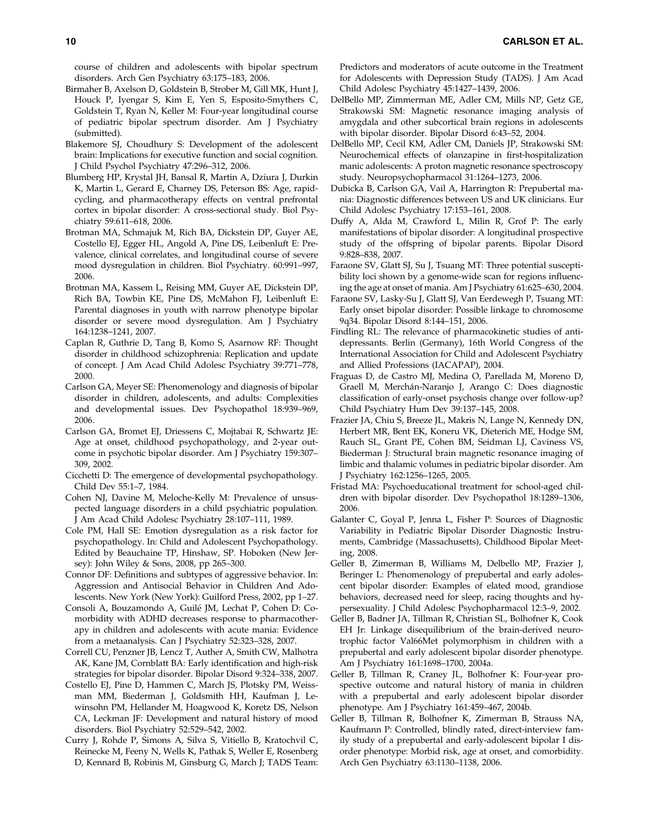course of children and adolescents with bipolar spectrum disorders. Arch Gen Psychiatry 63:175–183, 2006.

- Birmaher B, Axelson D, Goldstein B, Strober M, Gill MK, Hunt J, Houck P, Iyengar S, Kim E, Yen S, Esposito-Smythers C, Goldstein T, Ryan N, Keller M: Four-year longitudinal course of pediatric bipolar spectrum disorder. Am J Psychiatry (submitted).
- Blakemore SJ, Choudhury S: Development of the adolescent brain: Implications for executive function and social cognition. J Child Psychol Psychiatry 47:296–312, 2006.
- Blumberg HP, Krystal JH, Bansal R, Martin A, Dziura J, Durkin K, Martin L, Gerard E, Charney DS, Peterson BS: Age, rapidcycling, and pharmacotherapy effects on ventral prefrontal cortex in bipolar disorder: A cross-sectional study. Biol Psychiatry 59:611–618, 2006.
- Brotman MA, Schmajuk M, Rich BA, Dickstein DP, Guyer AE, Costello EJ, Egger HL, Angold A, Pine DS, Leibenluft E: Prevalence, clinical correlates, and longitudinal course of severe mood dysregulation in children. Biol Psychiatry. 60:991–997, 2006.
- Brotman MA, Kassem L, Reising MM, Guyer AE, Dickstein DP, Rich BA, Towbin KE, Pine DS, McMahon FJ, Leibenluft E: Parental diagnoses in youth with narrow phenotype bipolar disorder or severe mood dysregulation. Am J Psychiatry 164:1238–1241, 2007.
- Caplan R, Guthrie D, Tang B, Komo S, Asarnow RF: Thought disorder in childhood schizophrenia: Replication and update of concept. J Am Acad Child Adolesc Psychiatry 39:771–778, 2000.
- Carlson GA, Meyer SE: Phenomenology and diagnosis of bipolar disorder in children, adolescents, and adults: Complexities and developmental issues. Dev Psychopathol 18:939–969, 2006.
- Carlson GA, Bromet EJ, Driessens C, Mojtabai R, Schwartz JE: Age at onset, childhood psychopathology, and 2-year outcome in psychotic bipolar disorder. Am J Psychiatry 159:307– 309, 2002.
- Cicchetti D: The emergence of developmental psychopathology. Child Dev 55:1–7, 1984.
- Cohen NJ, Davine M, Meloche-Kelly M: Prevalence of unsuspected language disorders in a child psychiatric population. J Am Acad Child Adolesc Psychiatry 28:107–111, 1989.
- Cole PM, Hall SE: Emotion dysregulation as a risk factor for psychopathology. In: Child and Adolescent Psychopathology. Edited by Beauchaine TP, Hinshaw, SP. Hoboken (New Jersey): John Wiley & Sons, 2008, pp 265–300.
- Connor DF: Definitions and subtypes of aggressive behavior. In: Aggression and Antisocial Behavior in Children And Adolescents. New York (New York): Guilford Press, 2002, pp 1–27.
- Consoli A, Bouzamondo A, Guile´ JM, Lechat P, Cohen D: Comorbidity with ADHD decreases response to pharmacotherapy in children and adolescents with acute mania: Evidence from a metaanalysis. Can J Psychiatry 52:323–328, 2007.
- Correll CU, Penzner JB, Lencz T, Auther A, Smith CW, Malhotra AK, Kane JM, Cornblatt BA: Early identification and high-risk strategies for bipolar disorder. Bipolar Disord 9:324–338, 2007.
- Costello EJ, Pine D, Hammen C, March JS, Plotsky PM, Weissman MM, Biederman J, Goldsmith HH, Kaufman J, Lewinsohn PM, Hellander M, Hoagwood K, Koretz DS, Nelson CA, Leckman JF: Development and natural history of mood disorders. Biol Psychiatry 52:529–542, 2002.
- Curry J, Rohde P, Simons A, Silva S, Vitiello B, Kratochvil C, Reinecke M, Feeny N, Wells K, Pathak S, Weller E, Rosenberg D, Kennard B, Robinis M, Ginsburg G, March J; TADS Team:

Predictors and moderators of acute outcome in the Treatment for Adolescents with Depression Study (TADS). J Am Acad Child Adolesc Psychiatry 45:1427–1439, 2006.

- DelBello MP, Zimmerman ME, Adler CM, Mills NP, Getz GE, Strakowski SM: Magnetic resonance imaging analysis of amygdala and other subcortical brain regions in adolescents with bipolar disorder. Bipolar Disord 6:43–52, 2004.
- DelBello MP, Cecil KM, Adler CM, Daniels JP, Strakowski SM: Neurochemical effects of olanzapine in first-hospitalization manic adolescents: A proton magnetic resonance spectroscopy study. Neuropsychopharmacol 31:1264–1273, 2006.
- Dubicka B, Carlson GA, Vail A, Harrington R: Prepubertal mania: Diagnostic differences between US and UK clinicians. Eur Child Adolesc Psychiatry 17:153–161, 2008.
- Duffy A, Alda M, Crawford L, Milin R, Grof P: The early manifestations of bipolar disorder: A longitudinal prospective study of the offspring of bipolar parents. Bipolar Disord 9:828–838, 2007.
- Faraone SV, Glatt SJ, Su J, Tsuang MT: Three potential susceptibility loci shown by a genome-wide scan for regions influencing the age at onset of mania. Am J Psychiatry 61:625–630, 2004.
- Faraone SV, Lasky-Su J, Glatt SJ, Van Eerdewegh P, Tsuang MT: Early onset bipolar disorder: Possible linkage to chromosome 9q34. Bipolar Disord 8:144–151, 2006.
- Findling RL: The relevance of pharmacokinetic studies of antidepressants. Berlin (Germany), 16th World Congress of the International Association for Child and Adolescent Psychiatry and Allied Professions (IACAPAP), 2004.
- Fraguas D, de Castro MJ, Medina O, Parellada M, Moreno D, Graell M, Merchán-Naranjo J, Arango C: Does diagnostic classification of early-onset psychosis change over follow-up? Child Psychiatry Hum Dev 39:137–145, 2008.
- Frazier JA, Chiu S, Breeze JL, Makris N, Lange N, Kennedy DN, Herbert MR, Bent EK, Koneru VK, Dieterich ME, Hodge SM, Rauch SL, Grant PE, Cohen BM, Seidman LJ, Caviness VS, Biederman J: Structural brain magnetic resonance imaging of limbic and thalamic volumes in pediatric bipolar disorder. Am J Psychiatry 162:1256–1265, 2005.
- Fristad MA: Psychoeducational treatment for school-aged children with bipolar disorder. Dev Psychopathol 18:1289–1306, 2006.
- Galanter C, Goyal P, Jenna L, Fisher P: Sources of Diagnostic Variability in Pediatric Bipolar Disorder Diagnostic Instruments, Cambridge (Massachusetts), Childhood Bipolar Meeting, 2008.
- Geller B, Zimerman B, Williams M, Delbello MP, Frazier J, Beringer L: Phenomenology of prepubertal and early adolescent bipolar disorder: Examples of elated mood, grandiose behaviors, decreased need for sleep, racing thoughts and hypersexuality. J Child Adolesc Psychopharmacol 12:3–9, 2002.
- Geller B, Badner JA, Tillman R, Christian SL, Bolhofner K, Cook EH Jr: Linkage disequilibrium of the brain-derived neurotrophic factor Val66Met polymorphism in children with a prepubertal and early adolescent bipolar disorder phenotype. Am J Psychiatry 161:1698–1700, 2004a.
- Geller B, Tillman R, Craney JL, Bolhofner K: Four-year prospective outcome and natural history of mania in children with a prepubertal and early adolescent bipolar disorder phenotype. Am J Psychiatry 161:459–467, 2004b.
- Geller B, Tillman R, Bolhofner K, Zimerman B, Strauss NA, Kaufmann P: Controlled, blindly rated, direct-interview family study of a prepubertal and early-adolescent bipolar I disorder phenotype: Morbid risk, age at onset, and comorbidity. Arch Gen Psychiatry 63:1130–1138, 2006.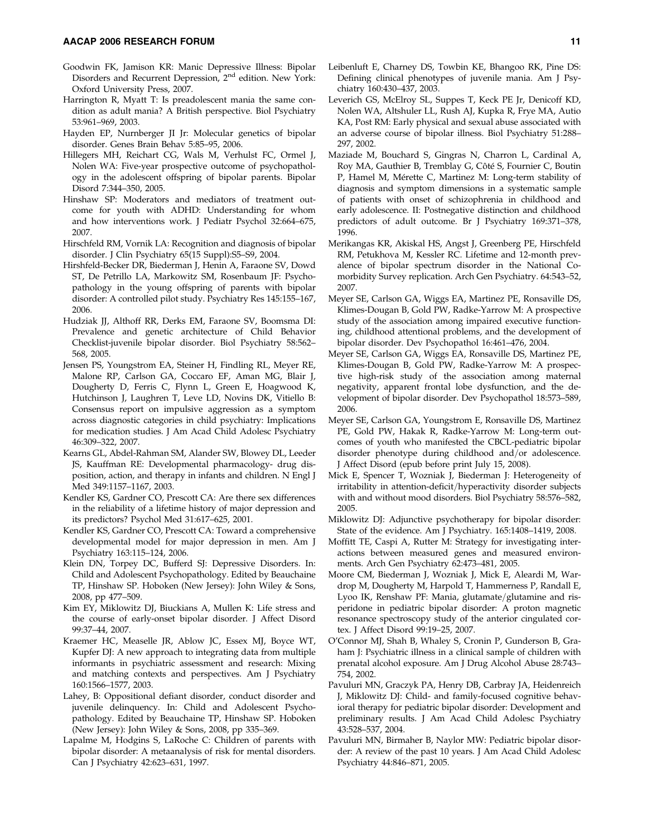- Goodwin FK, Jamison KR: Manic Depressive Illness: Bipolar Disorders and Recurrent Depression, 2<sup>nd</sup> edition. New York: Oxford University Press, 2007.
- Harrington R, Myatt T: Is preadolescent mania the same condition as adult mania? A British perspective. Biol Psychiatry 53:961–969, 2003.
- Hayden EP, Nurnberger JI Jr: Molecular genetics of bipolar disorder. Genes Brain Behav 5:85–95, 2006.
- Hillegers MH, Reichart CG, Wals M, Verhulst FC, Ormel J, Nolen WA: Five-year prospective outcome of psychopathology in the adolescent offspring of bipolar parents. Bipolar Disord 7:344–350, 2005.
- Hinshaw SP: Moderators and mediators of treatment outcome for youth with ADHD: Understanding for whom and how interventions work. J Pediatr Psychol 32:664–675, 2007.
- Hirschfeld RM, Vornik LA: Recognition and diagnosis of bipolar disorder. J Clin Psychiatry 65(15 Suppl):S5–S9, 2004.
- Hirshfeld-Becker DR, Biederman J, Henin A, Faraone SV, Dowd ST, De Petrillo LA, Markowitz SM, Rosenbaum JF: Psychopathology in the young offspring of parents with bipolar disorder: A controlled pilot study. Psychiatry Res 145:155–167, 2006.
- Hudziak JJ, Althoff RR, Derks EM, Faraone SV, Boomsma DI: Prevalence and genetic architecture of Child Behavior Checklist-juvenile bipolar disorder. Biol Psychiatry 58:562– 568, 2005.
- Jensen PS, Youngstrom EA, Steiner H, Findling RL, Meyer RE, Malone RP, Carlson GA, Coccaro EF, Aman MG, Blair J, Dougherty D, Ferris C, Flynn L, Green E, Hoagwood K, Hutchinson J, Laughren T, Leve LD, Novins DK, Vitiello B: Consensus report on impulsive aggression as a symptom across diagnostic categories in child psychiatry: Implications for medication studies. J Am Acad Child Adolesc Psychiatry 46:309–322, 2007.
- Kearns GL, Abdel-Rahman SM, Alander SW, Blowey DL, Leeder JS, Kauffman RE: Developmental pharmacology- drug disposition, action, and therapy in infants and children. N Engl J Med 349:1157–1167, 2003.
- Kendler KS, Gardner CO, Prescott CA: Are there sex differences in the reliability of a lifetime history of major depression and its predictors? Psychol Med 31:617–625, 2001.
- Kendler KS, Gardner CO, Prescott CA: Toward a comprehensive developmental model for major depression in men. Am J Psychiatry 163:115–124, 2006.
- Klein DN, Torpey DC, Bufferd SJ: Depressive Disorders. In: Child and Adolescent Psychopathology. Edited by Beauchaine TP, Hinshaw SP. Hoboken (New Jersey): John Wiley & Sons, 2008, pp 477–509.
- Kim EY, Miklowitz DJ, Biuckians A, Mullen K: Life stress and the course of early-onset bipolar disorder. J Affect Disord 99:37–44, 2007.
- Kraemer HC, Measelle JR, Ablow JC, Essex MJ, Boyce WT, Kupfer DJ: A new approach to integrating data from multiple informants in psychiatric assessment and research: Mixing and matching contexts and perspectives. Am J Psychiatry 160:1566–1577, 2003.
- Lahey, B: Oppositional defiant disorder, conduct disorder and juvenile delinquency. In: Child and Adolescent Psychopathology. Edited by Beauchaine TP, Hinshaw SP. Hoboken (New Jersey): John Wiley & Sons, 2008, pp 335–369.
- Lapalme M, Hodgins S, LaRoche C: Children of parents with bipolar disorder: A metaanalysis of risk for mental disorders. Can J Psychiatry 42:623–631, 1997.
- Leibenluft E, Charney DS, Towbin KE, Bhangoo RK, Pine DS: Defining clinical phenotypes of juvenile mania. Am J Psychiatry 160:430–437, 2003.
- Leverich GS, McElroy SL, Suppes T, Keck PE Jr, Denicoff KD, Nolen WA, Altshuler LL, Rush AJ, Kupka R, Frye MA, Autio KA, Post RM: Early physical and sexual abuse associated with an adverse course of bipolar illness. Biol Psychiatry 51:288– 297, 2002.
- Maziade M, Bouchard S, Gingras N, Charron L, Cardinal A, Roy MA, Gauthier B, Tremblay G, Côté S, Fournier C, Boutin P, Hamel M, Mérette C, Martinez M: Long-term stability of diagnosis and symptom dimensions in a systematic sample of patients with onset of schizophrenia in childhood and early adolescence. II: Postnegative distinction and childhood predictors of adult outcome. Br J Psychiatry 169:371–378, 1996.
- Merikangas KR, Akiskal HS, Angst J, Greenberg PE, Hirschfeld RM, Petukhova M, Kessler RC. Lifetime and 12-month prevalence of bipolar spectrum disorder in the National Comorbidity Survey replication. Arch Gen Psychiatry. 64:543–52, 2007.
- Meyer SE, Carlson GA, Wiggs EA, Martinez PE, Ronsaville DS, Klimes-Dougan B, Gold PW, Radke-Yarrow M: A prospective study of the association among impaired executive functioning, childhood attentional problems, and the development of bipolar disorder. Dev Psychopathol 16:461–476, 2004.
- Meyer SE, Carlson GA, Wiggs EA, Ronsaville DS, Martinez PE, Klimes-Dougan B, Gold PW, Radke-Yarrow M: A prospective high-risk study of the association among maternal negativity, apparent frontal lobe dysfunction, and the development of bipolar disorder. Dev Psychopathol 18:573–589, 2006.
- Meyer SE, Carlson GA, Youngstrom E, Ronsaville DS, Martinez PE, Gold PW, Hakak R, Radke-Yarrow M: Long-term outcomes of youth who manifested the CBCL-pediatric bipolar disorder phenotype during childhood and/or adolescence. J Affect Disord (epub before print July 15, 2008).
- Mick E, Spencer T, Wozniak J, Biederman J: Heterogeneity of irritability in attention-deficit/hyperactivity disorder subjects with and without mood disorders. Biol Psychiatry 58:576–582, 2005.
- Miklowitz DJ: Adjunctive psychotherapy for bipolar disorder: State of the evidence. Am J Psychiatry. 165:1408–1419, 2008.
- Moffitt TE, Caspi A, Rutter M: Strategy for investigating interactions between measured genes and measured environments. Arch Gen Psychiatry 62:473–481, 2005.
- Moore CM, Biederman J, Wozniak J, Mick E, Aleardi M, Wardrop M, Dougherty M, Harpold T, Hammerness P, Randall E, Lyoo IK, Renshaw PF: Mania, glutamate/glutamine and risperidone in pediatric bipolar disorder: A proton magnetic resonance spectroscopy study of the anterior cingulated cortex. J Affect Disord 99:19–25, 2007.
- O'Connor MJ, Shah B, Whaley S, Cronin P, Gunderson B, Graham J: Psychiatric illness in a clinical sample of children with prenatal alcohol exposure. Am J Drug Alcohol Abuse 28:743– 754, 2002.
- Pavuluri MN, Graczyk PA, Henry DB, Carbray JA, Heidenreich J, Miklowitz DJ: Child- and family-focused cognitive behavioral therapy for pediatric bipolar disorder: Development and preliminary results. J Am Acad Child Adolesc Psychiatry 43:528–537, 2004.
- Pavuluri MN, Birmaher B, Naylor MW: Pediatric bipolar disorder: A review of the past 10 years. J Am Acad Child Adolesc Psychiatry 44:846–871, 2005.